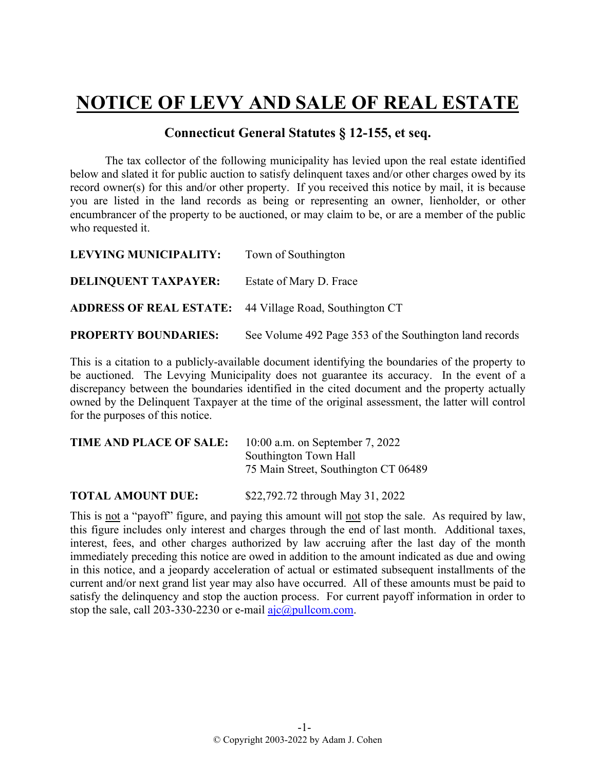## **NOTICE OF LEVY AND SALE OF REAL ESTATE**

## **Connecticut General Statutes § 12-155, et seq.**

The tax collector of the following municipality has levied upon the real estate identified below and slated it for public auction to satisfy delinquent taxes and/or other charges owed by its record owner(s) for this and/or other property. If you received this notice by mail, it is because you are listed in the land records as being or representing an owner, lienholder, or other encumbrancer of the property to be auctioned, or may claim to be, or are a member of the public who requested it.

| LEVYING MUNICIPALITY:                                          | Town of Southington                                     |
|----------------------------------------------------------------|---------------------------------------------------------|
| <b>DELINQUENT TAXPAYER:</b>                                    | Estate of Mary D. Frace                                 |
| <b>ADDRESS OF REAL ESTATE:</b> 44 Village Road, Southington CT |                                                         |
| <b>PROPERTY BOUNDARIES:</b>                                    | See Volume 492 Page 353 of the Southington land records |

This is a citation to a publicly-available document identifying the boundaries of the property to be auctioned. The Levying Municipality does not guarantee its accuracy. In the event of a discrepancy between the boundaries identified in the cited document and the property actually owned by the Delinquent Taxpayer at the time of the original assessment, the latter will control for the purposes of this notice.

| TIME AND PLACE OF SALE: | $10:00$ a.m. on September 7, 2022    |
|-------------------------|--------------------------------------|
|                         | Southington Town Hall                |
|                         | 75 Main Street, Southington CT 06489 |
|                         |                                      |

**TOTAL AMOUNT DUE:** \$22,792.72 through May 31, 2022

This is not a "payoff" figure, and paying this amount will not stop the sale. As required by law, this figure includes only interest and charges through the end of last month. Additional taxes, interest, fees, and other charges authorized by law accruing after the last day of the month immediately preceding this notice are owed in addition to the amount indicated as due and owing in this notice, and a jeopardy acceleration of actual or estimated subsequent installments of the current and/or next grand list year may also have occurred. All of these amounts must be paid to satisfy the delinquency and stop the auction process. For current payoff information in order to stop the sale, call 203-330-2230 or e-mail  $a$ jc $@p$ ullcom.com.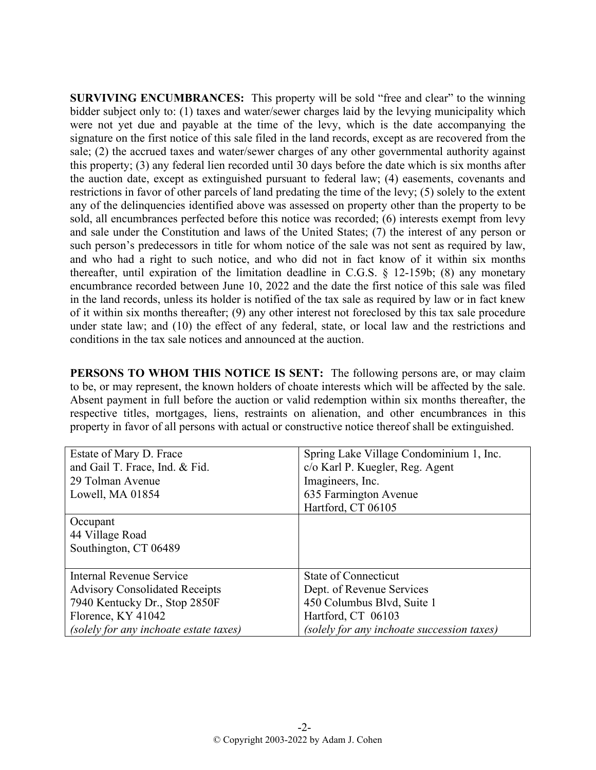**SURVIVING ENCUMBRANCES:** This property will be sold "free and clear" to the winning bidder subject only to: (1) taxes and water/sewer charges laid by the levying municipality which were not yet due and payable at the time of the levy, which is the date accompanying the signature on the first notice of this sale filed in the land records, except as are recovered from the sale; (2) the accrued taxes and water/sewer charges of any other governmental authority against this property; (3) any federal lien recorded until 30 days before the date which is six months after the auction date, except as extinguished pursuant to federal law; (4) easements, covenants and restrictions in favor of other parcels of land predating the time of the levy; (5) solely to the extent any of the delinquencies identified above was assessed on property other than the property to be sold, all encumbrances perfected before this notice was recorded; (6) interests exempt from levy and sale under the Constitution and laws of the United States; (7) the interest of any person or such person's predecessors in title for whom notice of the sale was not sent as required by law, and who had a right to such notice, and who did not in fact know of it within six months thereafter, until expiration of the limitation deadline in C.G.S. § 12-159b; (8) any monetary encumbrance recorded between June 10, 2022 and the date the first notice of this sale was filed in the land records, unless its holder is notified of the tax sale as required by law or in fact knew of it within six months thereafter; (9) any other interest not foreclosed by this tax sale procedure under state law; and (10) the effect of any federal, state, or local law and the restrictions and conditions in the tax sale notices and announced at the auction.

**PERSONS TO WHOM THIS NOTICE IS SENT:** The following persons are, or may claim to be, or may represent, the known holders of choate interests which will be affected by the sale. Absent payment in full before the auction or valid redemption within six months thereafter, the respective titles, mortgages, liens, restraints on alienation, and other encumbrances in this property in favor of all persons with actual or constructive notice thereof shall be extinguished.

| Estate of Mary D. Frace                | Spring Lake Village Condominium 1, Inc.    |
|----------------------------------------|--------------------------------------------|
| and Gail T. Frace, Ind. & Fid.         | c/o Karl P. Kuegler, Reg. Agent            |
| 29 Tolman Avenue                       | Imagineers, Inc.                           |
| Lowell, MA 01854                       | 635 Farmington Avenue                      |
|                                        | Hartford, CT 06105                         |
| Occupant                               |                                            |
| 44 Village Road                        |                                            |
| Southington, CT 06489                  |                                            |
|                                        |                                            |
| Internal Revenue Service               | State of Connecticut                       |
| <b>Advisory Consolidated Receipts</b>  | Dept. of Revenue Services                  |
| 7940 Kentucky Dr., Stop 2850F          | 450 Columbus Blvd, Suite 1                 |
| Florence, KY 41042                     | Hartford, CT 06103                         |
| (solely for any inchoate estate taxes) | (solely for any inchoate succession taxes) |